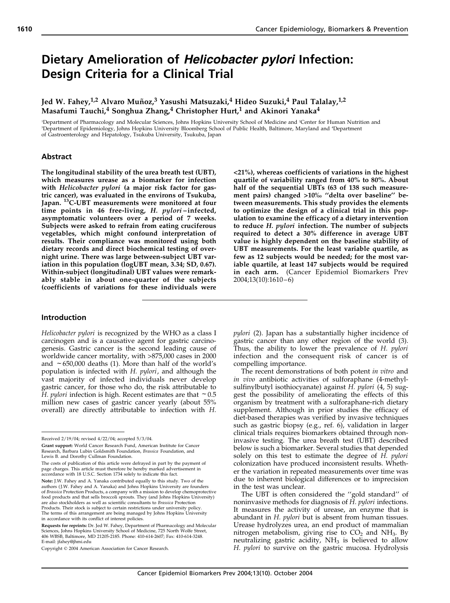# Dietary Amelioration of Helicobacter pylori Infection: Design Criteria for a Clinical Trial

Jed W. Fahey,<sup>1,2</sup> Alvaro Muñoz,<sup>3</sup> Yasushi Matsuzaki,<sup>4</sup> Hideo Suzuki,<sup>4</sup> Paul Talalay,<sup>1,2</sup> Masafumi Tauchi,<sup>4</sup> Songhua Zhang,<sup>4</sup> Christopher Hurt,<sup>1</sup> and Akinori Yanaka<sup>4</sup>

<sup>1</sup>Department of Pharmacology and Molecular Sciences, Johns Hopkins University School of Medicine and <sup>2</sup>Center for Human Nutrition and 3 Department of Epidemiology, Johns Hopkins University Bloomberg School of Public Health, Baltimore, Maryland and <sup>4</sup> Department of Gastroenterology and Hepatology, Tsukuba University, Tsukuba, Japan

## Abstract

The longitudinal stability of the urea breath test (UBT), which measures urease as a biomarker for infection with Helicobacter pylori (a major risk factor for gastric cancer), was evaluated in the environs of Tsukuba, Japan. <sup>13</sup>C-UBT measurements were monitored at four time points in 46 free-living, H. pylori –infected, asymptomatic volunteers over a period of 7 weeks. Subjects were asked to refrain from eating cruciferous vegetables, which might confound interpretation of results. Their compliance was monitored using both dietary records and direct biochemical testing of overnight urine. There was large between-subject UBT variation in this population (logUBT mean, 3.34; SD, 0.67). Within-subject (longitudinal) UBT values were remarkably stable in about one-quarter of the subjects (coefficients of variations for these individuals were <21%), whereas coefficients of variations in the highest quartile of variability ranged from 40% to 80%. About half of the sequential UBTs (63 of 138 such measurement pairs) changed >10% ''delta over baseline'' between measurements. This study provides the elements to optimize the design of a clinical trial in this population to examine the efficacy of a dietary intervention to reduce H. pylori infection. The number of subjects required to detect a 30% difference in average UBT value is highly dependent on the baseline stability of UBT measurements. For the least variable quartile, as few as 12 subjects would be needed; for the most variable quartile, at least 147 subjects would be required in each arm. (Cancer Epidemiol Biomarkers Prev 2004;13(10):1610–6)

## Introduction

Helicobacter pylori is recognized by the WHO as a class I carcinogen and is a causative agent for gastric carcinogenesis. Gastric cancer is the second leading cause of worldwide cancer mortality, with >875,000 cases in 2000 and  $\sim$  650,000 deaths (1). More than half of the world's population is infected with H. pylori, and although the vast majority of infected individuals never develop gastric cancer, for those who do, the risk attributable to H. pylori infection is high. Recent estimates are that  $\sim 0.5$ million new cases of gastric cancer yearly (about 55% overall) are directly attributable to infection with H. pylori (2). Japan has a substantially higher incidence of gastric cancer than any other region of the world (3). Thus, the ability to lower the prevalence of H. pylori infection and the consequent risk of cancer is of compelling importance.

The recent demonstrations of both potent in vitro and in vivo antibiotic activities of sulforaphane (4-methylsulfinylbutyl isothiocyanate) against H. *pylori* (4, 5) suggest the possibility of ameliorating the effects of this organism by treatment with a sulforaphane-rich dietary supplement. Although in prior studies the efficacy of diet-based therapies was verified by invasive techniques such as gastric biopsy (e.g., ref. 6), validation in larger clinical trials requires biomarkers obtained through noninvasive testing. The urea breath test (UBT) described below is such a biomarker. Several studies that depended solely on this test to estimate the degree of H. pylori colonization have produced inconsistent results. Whether the variation in repeated measurements over time was due to inherent biological differences or to imprecision in the test was unclear.

The UBT is often considered the ''gold standard'' of noninvasive methods for diagnosis of H. pylori infections. It measures the activity of urease, an enzyme that is abundant in H. pylori but is absent from human tissues. Urease hydrolyzes urea, an end product of mammalian nitrogen metabolism, giving rise to  $CO<sub>2</sub>$  and NH<sub>3</sub>. By neutralizing gastric acidity,  $NH<sub>3</sub>$  is believed to allow H. pylori to survive on the gastric mucosa. Hydrolysis

Received 2/19/04; revised 4/22/04; accepted 5/3/04.

Grant support: World Cancer Research Fund, American Institute for Cancer Research, Barbara Lubin Goldsmith Foundation, Brassica Foundation, and Lewis B. and Dorothy Cullman Foundation.

The costs of publication of this article were defrayed in part by the payment of page charges. This article must therefore be hereby marked advertisement in accordance with 18 U.S.C. Section 1734 solely to indicate this fact.

Note: J.W. Fahey and A. Yanaka contributed equally to this study. Two of the authors (J.W. Fahey and A. Yanaka) and Johns Hopkins University are founders of Brassica Protection Products, a company with a mission to develop chemoprotective food products and that sells broccoli sprouts. They (and Johns Hopkins University)<br>are also stockholders as well as scientific consultants to *Brassica* Protection Products. Their stock is subject to certain restrictions under university policy. The terms of this arrangement are being managed by Johns Hopkins University in accordance with its conflict of interest policies.

Requests for reprints: Dr. Jed W. Fahey, Department of Pharmacology and Molecular Sciences, Johns Hopkins University School of Medicine, 725 North Wolfe Street, 406 WBSB, Baltimore, MD 21205-2185. Phone: 410-614-2607; Fax: 410-614-3248. E-mail: jfahey@jhmi.edu

Copyright © 2004 American Association for Cancer Research.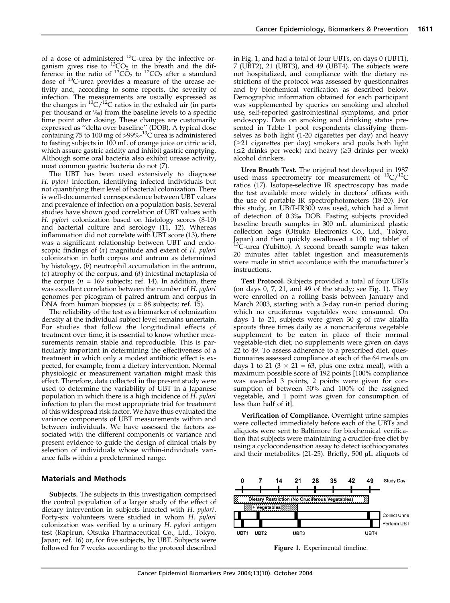of a dose of administered  $^{13}$ C-urea by the infective organism gives rise to  ${}^{13}CO_2$  in the breath and the difference in the ratio of  ${}^{13}CO_2$  to  ${}^{12}CO_2$  after a standard dose of 13C-urea provides a measure of the urease activity and, according to some reports, the severity of infection. The measurements are usually expressed as the changes in  ${}^{13}C/{}^{12}C$  ratios in the exhaled air (in parts per thousand or %) from the baseline levels to a specific time point after dosing. These changes are customarily expressed as ''delta over baseline'' (DOB). A typical dose<br>containing 75 to 100 mg of >99%-<sup>13</sup>C urea is administered to fasting subjects in 100 mL of orange juice or citric acid, which assure gastric acidity and inhibit gastric emptying. Although some oral bacteria also exhibit urease activity, most common gastric bacteria do not (7).

The UBT has been used extensively to diagnose H. pylori infection, identifying infected individuals but not quantifying their level of bacterial colonization. There is well-documented correspondence between UBT values and prevalence of infection on a population basis. Several studies have shown good correlation of UBT values with H. pylori colonization based on histology scores (8-10) and bacterial culture and serology (11, 12). Whereas inflammation did not correlate with UBT score (13), there was a significant relationship between UBT and endoscopic findings of (a) magnitude and extent of H. pylori colonization in both corpus and antrum as determined by histology, (b) neutrophil accumulation in the antrum,  $(c)$  atrophy of the corpus, and  $(d)$  intestinal metaplasia of the corpus ( $n = 169$  subjects; ref. 14). In addition, there was excellent correlation between the number of H. pylori genomes per picogram of paired antrum and corpus in DNA from human biopsies ( $n = 88$  subjects; ref. 15).

The reliability of the test as a biomarker of colonization density at the individual subject level remains uncertain. For studies that follow the longitudinal effects of treatment over time, it is essential to know whether measurements remain stable and reproducible. This is particularly important in determining the effectiveness of a treatment in which only a modest antibiotic effect is expected, for example, from a dietary intervention. Normal physiologic or measurement variation might mask this effect. Therefore, data collected in the present study were used to determine the variability of UBT in a Japanese population in which there is a high incidence of H. pylori infection to plan the most appropriate trial for treatment of this widespread risk factor. We have thus evaluated the variance components of UBT measurements within and between individuals. We have assessed the factors associated with the different components of variance and present evidence to guide the design of clinical trials by selection of individuals whose within-individuals variance falls within a predetermined range.

## Materials and Methods

Subjects. The subjects in this investigation comprised the control population of a larger study of the effect of dietary intervention in subjects infected with H. pylori. Forty-six volunteers were studied in whom H. pylori colonization was verified by a urinary H. pylori antigen test (Rapirun, Otsuka Pharmaceutical Co., Ltd., Tokyo, Japan; ref. 16) or, for five subjects, by UBT. Subjects were followed for 7 weeks according to the protocol described in Fig. 1, and had a total of four UBTs, on days 0 (UBT1), 7 (UBT2), 21 (UBT3), and 49 (UBT4). The subjects were not hospitalized, and compliance with the dietary restrictions of the protocol was assessed by questionnaires and by biochemical verification as described below. Demographic information obtained for each participant was supplemented by queries on smoking and alcohol use, self-reported gastrointestinal symptoms, and prior endoscopy. Data on smoking and drinking status presented in Table 1 pool respondents classifying themselves as both light (1-20 cigarettes per day) and heavy  $(\geq 21)$  cigarettes per day) smokers and pools both light  $(\leq 2 \text{ drinks per week})$  and heavy  $(\geq 3 \text{ drinks per week})$ alcohol drinkers.

Urea Breath Test. The original test developed in 1987 used mass spectrometry for measurement of  $^{13}C/^{12}C$ ratios (17). Isotope-selective IR spectroscopy has made the test available more widely in doctors' offices with the use of portable IR spectrophotometers (18-20). For this study, an UBiT-IR300 was used, which had a limit of detection of 0.3% DOB. Fasting subjects provided baseline breath samples in 300 mL aluminized plastic collection bags (Otsuka Electronics Co., Ltd., Tokyo, Japan) and then quickly swallowed a 100 mg tablet of  $13<sup>13</sup>C$ -urea (Yubitto). A second breath sample was taken 20 minutes after tablet ingestion and measurements were made in strict accordance with the manufacturer's instructions.

Test Protocol. Subjects provided a total of four UBTs (on days 0, 7, 21, and 49 of the study; see Fig. 1). They were enrolled on a rolling basis between January and March 2003, starting with a 3-day run-in period during which no cruciferous vegetables were consumed. On days 1 to 21, subjects were given 30 g of raw alfalfa sprouts three times daily as a noncruciferous vegetable supplement to be eaten in place of their normal vegetable-rich diet; no supplements were given on days 22 to 49. To assess adherence to a prescribed diet, questionnaires assessed compliance at each of the 64 meals on days 1 to 21 ( $3 \times 21 = 63$ , plus one extra meal), with a maximum possible score of 192 points [100% compliance was awarded 3 points, 2 points were given for consumption of between 50% and 100% of the assigned vegetable, and 1 point was given for consumption of less than half of it].

Verification of Compliance. Overnight urine samples were collected immediately before each of the UBTs and aliquots were sent to Baltimore for biochemical verification that subjects were maintaining a crucifer-free diet by using a cyclocondensation assay to detect isothiocyanates and their metabolites (21-25). Briefly, 500  $\mu$ L aliquots of



Figure 1. Experimental timeline.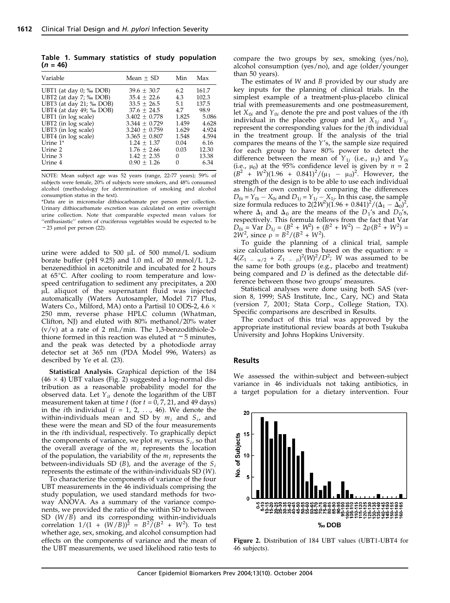Table 1. Summary statistics of study population  $(n = 46)$ 

| Variable                     | Mean $+$ SD     | Min   | Max   |
|------------------------------|-----------------|-------|-------|
| UBT1 (at day $0$ ; $\%$ DOB) | $39.6 + 30.7$   | 6.2   | 161.7 |
| UBT2 (at day $7;$ % DOB)     | $35.4 + 22.6$   | 4.3   | 102.3 |
| UBT3 (at day 21; ‰ DOB)      | $33.5 + 26.5$   | 5.1   | 137.5 |
| UBT4 (at day 49; ‰ DOB)      | $37.6 + 24.5$   | 4.7   | 98.9  |
| UBT1 (in log scale)          | $3.402 + 0.778$ | 1.825 | 5.086 |
| UBT2 (in log scale)          | $3.344 + 0.729$ | 1.459 | 4.628 |
| UBT3 (in log scale)          | $3.240 + 0.759$ | 1.629 | 4.924 |
| UBT4 (in log scale)          | $3.365 + 0.807$ | 1.548 | 4.594 |
| Urine $1^*$                  | $1.24 + 1.37$   | 0.04  | 6.16  |
| Urine 2                      | $1.76 + 2.66$   | 0.03  | 12.30 |
| Urine 3                      | $1.42 + 2.35$   | 0     | 13.38 |
| Urine 4                      | $0.90 + 1.26$   | 0     | 6.34  |

NOTE: Mean subject age was 52 years (range, 22-77 years); 59% of subjects were female, 20% of subjects were smokers, and 48% consumed alcohol (methodology for determination of smoking and alcohol consumption status in the text).

\*Data are in micromolar dithiocarbamate per person per collection. Urinary dithiocarbamate excretion was calculated on entire overnight urine collection. Note that comparable expected mean values for ''enthusiastic'' eaters of cruciferous vegetables would be expected to be  $\sim$  23 µmol per person (22).

urine were added to 500  $\mu$ L of 500 mmol/L sodium borate buffer (pH 9.25) and 1.0 mL of 20 mmol/L 1,2 benzenedithiol in acetonitrile and incubated for 2 hours at  $65^{\circ}$ C. After cooling to room temperature and lowspeed centrifugation to sediment any precipitates, a 200 AL aliquot of the supernatant fluid was injected automatically (Waters Autosampler, Model 717 Plus, Waters Co., Milford, MA) onto a Partisil 10 ODS-2, 4.6  $\times$ 250 mm, reverse phase HPLC column (Whatman, Clifton, NJ) and eluted with 80% methanol/20% water  $(v/v)$  at a rate of 2 mL/min. The 1,3-benzodithiole-2thione formed in this reaction was eluted at  $\sim$  5 minutes, and the peak was detected by a photodiode array detector set at 365 nm (PDA Model 996, Waters) as described by Ye et al. (23).

Statistical Analysis. Graphical depiction of the 184  $(46 \times 4)$  UBT values (Fig. 2) suggested a log-normal distribution as a reasonable probability model for the observed data. Let  $Y_{it}$  denote the logarithm of the UBT measurement taken at time t (for  $t = 0$ , 7, 21, and 49 days) in the *i*th individual  $(i = 1, 2, ..., 46)$ . We denote the within-individuals mean and SD by  $m_i$  and  $S_i$ , and these were the mean and SD of the four measurements in the ith individual, respectively. To graphically depict the components of variance, we plot  $m_i$  versus  $S_i$ , so that the overall average of the  $m_i$  represents the location of the population, the variability of the  $m_i$  represents the between-individuals SD (B), and the average of the  $S_i$ represents the estimate of the within-individuals SD (W).

To characterize the components of variance of the four UBT measurements in the 46 individuals comprising the study population, we used standard methods for twoway ANOVA. As a summary of the variance components, we provided the ratio of the within SD to between SD (W/B) and its corresponding within-individuals correlation  $1/(1 + (W/B))^2 = B^2/(B^2 + W^2)$ . To test whether age, sex, smoking, and alcohol consumption had effects on the components of variance and the mean of the UBT measurements, we used likelihood ratio tests to compare the two groups by sex, smoking (yes/no), alcohol consumption (yes/no), and age (older/younger than 50 years).

The estimates of  $W$  and  $B$  provided by our study are key inputs for the planning of clinical trials. In the simplest example of a treatment-plus-placebo clinical trial with premeasurements and one postmeasurement, let  $X_{0i}$  and  $Y_{0i}$  denote the pre and post values of the *i*th individual in the placebo group and let  $X_{1j}$  and  $Y_{1j}$ represent the corresponding values for the jth individual in the treatment group. If the analysis of the trial compares the means of the  $Y$ 's, the sample size required for each group to have 80% power to detect the difference between the mean of  $Y_{1j}$  (i.e.,  $\mu_1$ ) and  $Y_{0i}$ (i.e.,  $\mu_0$ ) at the 95% confidence level is given by  $n = 2$  $(B^2 + W^2)(1.96 + 0.841)^2/(\mu_1 - \mu_0)^2$ . However, the strength of the design is to be able to use each individual as his/her own control by comparing the differences  $D_{0i}$  =  $Y_{0i}$  –  $X_{0i}$  and  $D_{1j}$  =  $Y_{1j}$  –  $X_{1j}$ . In this case, the sample size formula reduces to 2(2 $W^2$ )(1.96 + 0.841)<sup>2</sup>/( $\Delta_1 - \Delta_0$ )<sup>2</sup>, where  $\Delta_1$  and  $\Delta_0$  are the means of the  $D_1$ 's and  $D_0$ 's, respectively. This formula follows from the fact that Var  $D_{0i} = \text{Var} \; D_{1j} = (B^2 + W^2) + (B^2 + W^2) - 2\rho(B^2 + W^2) =$  $2W^2$ , since  $\rho = B^2/(B^2 + W^2)$ .

To guide the planning of a clinical trial, sample size calculations were thus based on the equation:  $n =$  $4(Z_{1} - \alpha/2 + Z_{1} - \beta)^{2}(W)^{2}/D^{2}$ ; W was assumed to be the same for both groups (e.g., placebo and treatment) being compared and  $D$  is defined as the detectable difference between those two groups' measures.

Statistical analyses were done using both SAS (version 8, 1999; SAS Institute, Inc., Cary, NC) and Stata (version 7, 2001; Stata Corp., College Station, TX). Specific comparisons are described in Results.

The conduct of this trial was approved by the appropriate institutional review boards at both Tsukuba University and Johns Hopkins University.

#### Results

We assessed the within-subject and between-subject variance in 46 individuals not taking antibiotics, in a target population for a dietary intervention. Four



Figure 2. Distribution of 184 UBT values (UBT1-UBT4 for 46 subjects).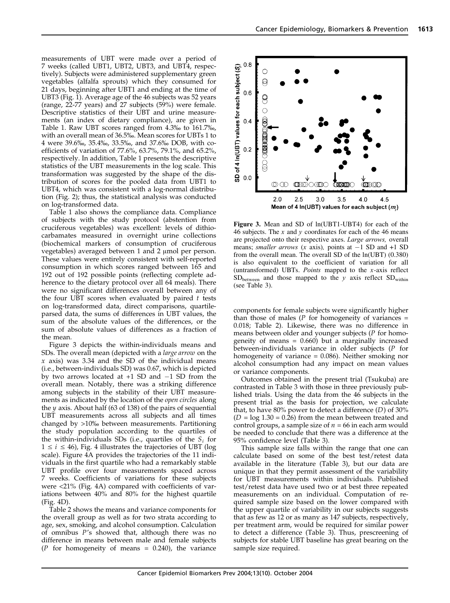measurements of UBT were made over a period of 7 weeks (called UBT1, UBT2, UBT3, and UBT4, respectively). Subjects were administered supplementary green vegetables (alfalfa sprouts) which they consumed for 21 days, beginning after UBT1 and ending at the time of UBT3 (Fig. 1). Average age of the 46 subjects was 52 years (range, 22-77 years) and 27 subjects (59%) were female. Descriptive statistics of their UBT and urine measurements (an index of dietary compliance), are given in Table 1. Raw UBT scores ranged from 4.3% to 161.7%, with an overall mean of 36.5%. Mean scores for UBTs 1 to 4 were 39.6%, 35.4%, 33.5%, and 37.6% DOB, with coefficients of variation of 77.6%, 63.7%, 79.1%, and 65.2%, respectively. In addition, Table 1 presents the descriptive statistics of the UBT measurements in the log scale. This transformation was suggested by the shape of the distribution of scores for the pooled data from UBT1 to UBT4, which was consistent with a log-normal distribution (Fig. 2); thus, the statistical analysis was conducted on log-transformed data.

Table 1 also shows the compliance data. Compliance of subjects with the study protocol (abstention from cruciferous vegetables) was excellent: levels of dithiocarbamates measured in overnight urine collections (biochemical markers of consumption of cruciferous vegetables) averaged between  $1$  and  $2 \mu$ mol per person. These values were entirely consistent with self-reported consumption in which scores ranged between 165 and 192 out of 192 possible points (reflecting complete adherence to the dietary protocol over all 64 meals). There were no significant differences overall between any of the four UBT scores when evaluated by paired  $t$  tests on log-transformed data, direct comparisons, quartileparsed data, the sums of differences in UBT values, the sum of the absolute values of the differences, or the sum of absolute values of differences as a fraction of the mean.

Figure 3 depicts the within-individuals means and SDs. The overall mean (depicted with a *large arrow* on the  $x$  axis) was 3.34 and the SD of the individual means (i.e., between-individuals SD) was 0.67, which is depicted by two arrows located at +1 SD and -1 SD from the overall mean. Notably, there was a striking difference among subjects in the stability of their UBT measurements as indicated by the location of the open circles along the  $\gamma$  axis. About half (63 of 138) of the pairs of sequential UBT measurements across all subjects and all times changed by >10% between measurements. Partitioning the study population according to the quartiles of the within-individuals SDs (i.e., quartiles of the  $S_i$  for  $1 \le i \le 46$ ), Fig. 4 illustrates the trajectories of UBT (log scale). Figure 4A provides the trajectories of the 11 individuals in the first quartile who had a remarkably stable UBT profile over four measurements spaced across 7 weeks. Coefficients of variations for these subjects were <21% (Fig. 4A) compared with coefficients of variations between 40% and 80% for the highest quartile (Fig. 4D).

Table 2 shows the means and variance components for the overall group as well as for two strata according to age, sex, smoking, and alcohol consumption. Calculation of omnibus P's showed that, although there was no difference in means between male and female subjects ( $P$  for homogeneity of means = 0.240), the variance



Figure 3. Mean and SD of ln(UBT1-UBT4) for each of the 46 subjects. The  $x$  and  $y$  coordinates for each of the 46 means are projected onto their respective axes. Large arrows, overall means; *smaller arrows* ( $x$  axis), points at  $-1$  SD and  $+1$  SD from the overall mean. The overall SD of the ln(UBT) (0.380) is also equivalent to the coefficient of variation for all (untransformed) UBTs.  $Points$  mapped to the  $x$ -axis reflect  $SD_{between}$  and those mapped to the y axis reflect  $SD_{within}$ (see Table 3).

components for female subjects were significantly higher than those of males ( $P$  for homogeneity of variances = 0.018; Table 2). Likewise, there was no difference in means between older and younger subjects (P for homogeneity of means = 0.660) but a marginally increased between-individuals variance in older subjects (P for homogeneity of variance = 0.086). Neither smoking nor alcohol consumption had any impact on mean values or variance components.

Outcomes obtained in the present trial (Tsukuba) are contrasted in Table 3 with those in three previously published trials. Using the data from the 46 subjects in the present trial as the basis for projection, we calculate that, to have 80% power to detect a difference  $(D)$  of 30%  $(D = \log 1.30 = 0.26)$  from the mean between treated and control groups, a sample size of  $n = 66$  in each arm would be needed to conclude that there was a difference at the 95% confidence level (Table 3).

This sample size falls within the range that one can calculate based on some of the best test/retest data available in the literature (Table 3), but our data are unique in that they permit assessment of the variability for UBT measurements within individuals. Published test/retest data have used two or at best three repeated measurements on an individual. Computation of required sample size based on the lower compared with the upper quartile of variability in our subjects suggests that as few as 12 or as many as 147 subjects, respectively, per treatment arm, would be required for similar power to detect a difference (Table 3). Thus, prescreening of subjects for stable UBT baseline has great bearing on the sample size required.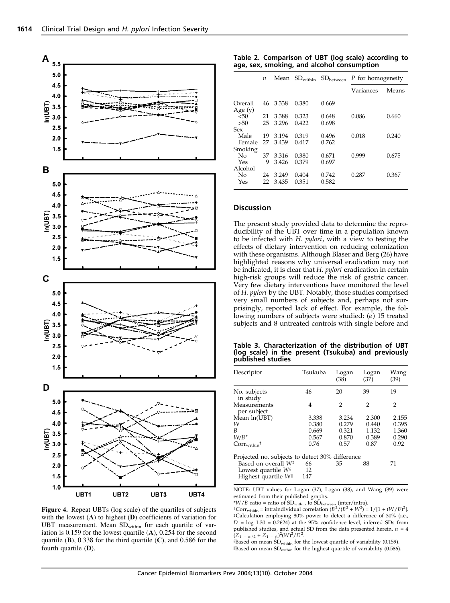

Figure 4. Repeat UBTs (log scale) of the quartiles of subjects with the lowest (A) to highest (D) coefficients of variation for UBT measurement. Mean SDwithin for each quartile of variation is 0.159 for the lowest quartile (A), 0.254 for the second quartile (B), 0.338 for the third quartile (C), and 0.586 for the fourth quartile (D).

| Table 2. Comparison of UBT (log scale) according to |  |
|-----------------------------------------------------|--|
| age, sex, smoking, and alcohol consumption          |  |

|                      | $\boldsymbol{n}$ | Mean  | $SD_{within}$ | SD <sub>between</sub> | P for homogeneity |       |
|----------------------|------------------|-------|---------------|-----------------------|-------------------|-------|
|                      |                  |       |               |                       | Variances         | Means |
| Overall<br>Age $(y)$ | 46               | 3.338 | 0.380         | 0.669                 |                   |       |
| 50<                  | 21               | 3.388 | 0.323         | 0.648                 | 0.086             | 0.660 |
| >50                  | 25               | 3.296 | 0.422         | 0.698                 |                   |       |
| Sex                  |                  |       |               |                       |                   |       |
| Male                 | 19               | 3.194 | 0.319         | 0.496                 | 0.018             | 0.240 |
| Female               | 27               | 3.439 | 0.417         | 0.762                 |                   |       |
| Smoking              |                  |       |               |                       |                   |       |
| No                   | 37               | 3.316 | 0.380         | 0.671                 | 0.999             | 0.675 |
| Yes                  | 9                | 3.426 | 0.379         | 0.697                 |                   |       |
| Alcohol              |                  |       |               |                       |                   |       |
| No                   | 24               | 3.249 | 0.404         | 0.742                 | 0.287             | 0.367 |
| Yes                  | 22               | 3.435 | 0.351         | 0.582                 |                   |       |

## Discussion

The present study provided data to determine the reproducibility of the UBT over time in a population known to be infected with *H. pylori*, with a view to testing the effects of dietary intervention on reducing colonization with these organisms. Although Blaser and Berg (26) have highlighted reasons why universal eradication may not be indicated, it is clear that H. pylori eradication in certain high-risk groups will reduce the risk of gastric cancer. Very few dietary interventions have monitored the level of H. pylori by the UBT. Notably, those studies comprised very small numbers of subjects and, perhaps not surprisingly, reported lack of effect. For example, the following numbers of subjects were studied: (a) 15 treated subjects and 8 untreated controls with single before and

Table 3. Characterization of the distribution of UBT (log scale) in the present (Tsukuba) and previously published studies

| Descriptor                                                                                      | Tsukuba         | Logan<br>(38) | Logan<br>(37)  | Wang<br>(39) |
|-------------------------------------------------------------------------------------------------|-----------------|---------------|----------------|--------------|
| No. subjects<br>in study                                                                        | 46              | 20            | 39             | 19           |
| Measurements<br>per subject                                                                     | 4               | 2             | $\overline{2}$ | 2            |
| Mean ln(UBT)                                                                                    | 3.338           | 3.234         | 2.300          | 2.155        |
| W                                                                                               | 0.380           | 0.279         | 0.440          | 0.395        |
| B                                                                                               | 0.669           | 0.321         | 1.132          | 1.360        |
| $W/B^*$                                                                                         | 0.567           | 0.870         | 0.389          | 0.290        |
| $Corr_{within}^{\dagger}$                                                                       | 0.76            | 0.57          | 0.87           | 0.92         |
| Projected no. subjects to detect 30% difference                                                 |                 |               |                |              |
| Based on overall W <sup>‡</sup><br>Lowest quartile $W^{\S}$<br>Highest quartile $W^{\parallel}$ | 66<br>12<br>147 | 35            | 88             | 71           |

NOTE: UBT values for Logan (37), Logan (38), and Wang (39) were estimated from their published graphs.

\**W*/*B* ratio = ratio of SD<sub>within</sub> to SD<sub>between</sub> (inter/intra).<br>†Corr<sub>within</sub> = intraindividual correlation ( $B^2/(B^2 + W^2) = 1/[1 + (W/B)^2]$ . <sup>‡</sup>Calculation employing 80% power to detect a difference of 30% (i.e.,  $D = \log 1.30 = 0.2624$ ) at the 95% confidence level, inferred SDs from published studies, and actual SD from the data presented herein.  $n = 4$  $(Z_{1 - \alpha/2} + Z_{1 - \beta})^2 (W)^2 / D^2$ .

 $\$$ Based on mean SD $_{\rm within}$  for the lowest quartile of variability (0.159). Based on mean SD<sub>within</sub> for the highest quartile of variability (0.586).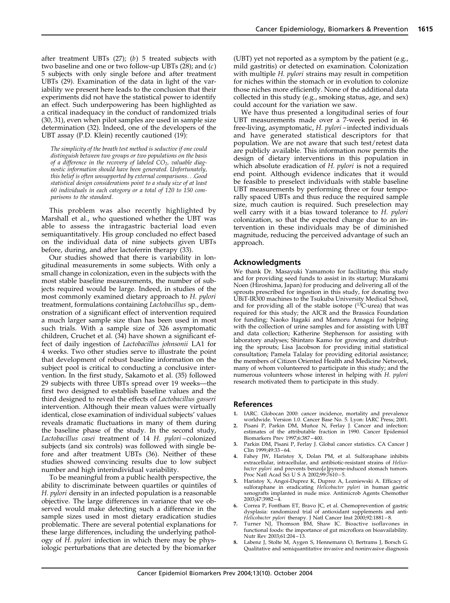after treatment UBTs  $(27)$ ;  $(b)$  5 treated subjects with two baseline and one or two follow-up UBTs  $(28)$ ; and  $(c)$ 5 subjects with only single before and after treatment UBTs (29). Examination of the data in light of the variability we present here leads to the conclusion that their experiments did not have the statistical power to identify an effect. Such underpowering has been highlighted as a critical inadequacy in the conduct of randomized trials (30, 31), even when pilot samples are used in sample size determination (32). Indeed, one of the developers of the UBT assay (P.D. Klein) recently cautioned (19):

The simplicity of the breath test method is seductive if one could distinguish between two groups or two populations on the basis of a difference in the recovery of labeled  $CO<sub>2</sub>$ , valuable diagnostic information should have been generated. Unfortunately, this belief is often unsupported by external comparisons...Good statistical design considerations point to a study size of at least 60 individuals in each category or a total of 120 to 150 comparisons to the standard.

This problem was also recently highlighted by Marshall et al., who questioned whether the UBT was able to assess the intragastric bacterial load even semiquantitatively. His group concluded no effect based on the individual data of nine subjects given UBTs before, during, and after lactoferrin therapy (33).

Our studies showed that there is variability in longitudinal measurements in some subjects. With only a small change in colonization, even in the subjects with the most stable baseline measurements, the number of subjects required would be large. Indeed, in studies of the most commonly examined dietary approach to H. pylori treatment, formulations containing Lactobacillus sp., demonstration of a significant effect of intervention required a much larger sample size than has been used in most such trials. With a sample size of 326 asymptomatic children, Cruchet et al. (34) have shown a significant effect of daily ingestion of Lactobacillus johnsonii LA1 for 4 weeks. Two other studies serve to illustrate the point that development of robust baseline information on the subject pool is critical to conducting a conclusive intervention. In the first study, Sakamoto et al. (35) followed 29 subjects with three UBTs spread over 19 weeks—the first two designed to establish baseline values and the third designed to reveal the effects of Lactobacillus gasseri intervention. Although their mean values were virtually identical, close examination of individual subjects' values reveals dramatic fluctuations in many of them during the baseline phase of the study. In the second study, Lactobacillus casei treatment of 14 H. pylori –colonized subjects (and six controls) was followed with single before and after treatment UBTs (36). Neither of these studies showed convincing results due to low subject number and high interindividual variability.

To be meaningful from a public health perspective, the ability to discriminate between quartiles or quintiles of H. pylori density in an infected population is a reasonable objective. The large differences in variance that we observed would make detecting such a difference in the sample sizes used in most dietary eradication studies problematic. There are several potential explanations for these large differences, including the underlying pathology of H. pylori infection in which there may be physiologic perturbations that are detected by the biomarker (UBT) yet not reported as a symptom by the patient (e.g., mild gastritis) or detected on examination. Colonization with multiple H. *pylori* strains may result in competition for niches within the stomach or in evolution to colonize those niches more efficiently. None of the additional data collected in this study (e.g., smoking status, age, and sex) could account for the variation we saw.

We have thus presented a longitudinal series of four UBT measurements made over a 7-week period in 46 free-living, asymptomatic, H. pylori-infected individuals and have generated statistical descriptors for that population. We are not aware that such test/retest data are publicly available. This information now permits the design of dietary interventions in this population in which absolute eradication of H. pylori is not a required end point. Although evidence indicates that it would be feasible to preselect individuals with stable baseline UBT measurements by performing three or four temporally spaced UBTs and thus reduce the required sample size, much caution is required. Such preselection may well carry with it a bias toward tolerance to H. pylori colonization, so that the expected change due to an intervention in these individuals may be of diminished magnitude, reducing the perceived advantage of such an approach.

### Acknowledgments

We thank Dr. Masayuki Yamamoto for facilitating this study and for providing seed funds to assist in its startup; Murakami Noen (Hiroshima, Japan) for producing and delivering all of the sprouts prescribed for ingestion in this study, for donating two UBiT-IR300 machines to the Tsukuba University Medical School, and for providing all of the stable isotope  $(^{13}C$ -urea) that was required for this study; the AICR and the Brassica Foundation for funding; Naoko Itagaki and Mamoru Amagai for helping with the collection of urine samples and for assisting with UBT and data collection; Katherine Stephenson for assisting with laboratory analyses; Shintaro Kamo for growing and distributing the sprouts; Lisa Jacobson for providing initial statistical consultation; Pamela Talalay for providing editorial assistance; the members of Citizen Oriented Health and Medicine Network, many of whom volunteered to participate in this study; and the numerous volunteers whose interest in helping with H. pylori research motivated them to participate in this study.

#### References

- 1. IARC. Globocan 2000: cancer incidence, mortality and prevalence worldwide. Version 1.0. Cancer Base No. 5. Lyon: IARC Press; 2001.
- Pisani P, Parkin DM, Muñoz N, Ferlay J. Cancer and infection: estimates of the attributable fraction in 1990. Cancer Epidemiol Biomarkers Prev 1997;6:387 – 400.
- Parkin DM, Pisani P, Ferlay J. Global cancer statistics. CA Cancer J Clin 1999;49:33 – 64.
- 4. Fahey JW, Haristoy X, Dolan PM, et al. Sulforaphane inhibits extracellular, intracellular, and antibiotic-resistant strains of Helicobacter pylori and prevents benzo[a]pyrene-induced stomach tumors. Proc Natl Acad Sci U S A 2002;99:7610 – 5.
- 5. Haristoy X, Angoi-Duprez K, Duprez A, Lozniewski A. Efficacy of sulforaphane in eradicating *Helicobacter pylori* in human gastric<br>xenografts implanted in nude mice. Antimicrob Agents Chemother 2003;47:3982 – 4.
- 6. Correa P, Fontham ET, Bravo JC, et al. Chemoprevention of gastric dysplasia: randomized trial of antioxidant supplements and anti-
- Helicobacter pylori therapy. J Natl Cancer Inst 2000;92:1881 8. 7. Turner NJ, Thomson BM, Shaw IC. Bioactive isoflavones in functional foods: the importance of gut microflora on bioavailability. Nutr Rev 2003;61:204 – 13.
- Labenz J, Stolte M, Aygen S, Hennemann O, Bertrams J, Borsch G. Qualitative and semiquantitative invasive and noninvasive diagnosis